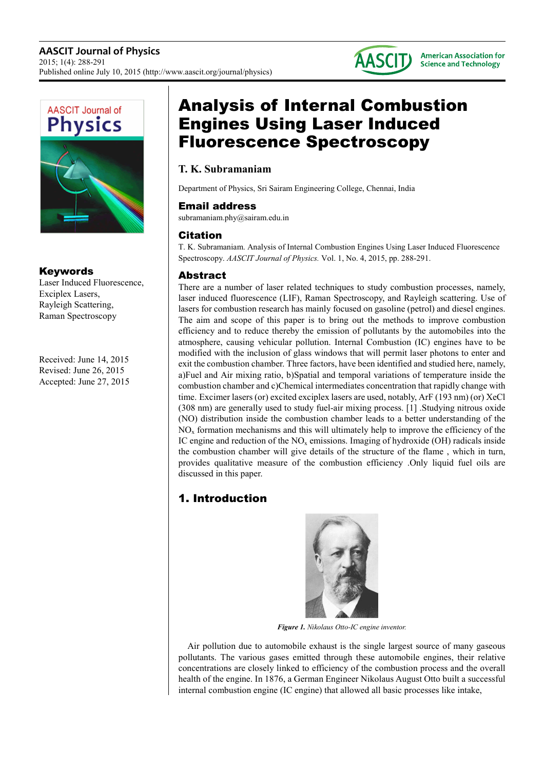



#### Keywords

Laser Induced Fluorescence, Exciplex Lasers, Rayleigh Scattering, Raman Spectroscopy

Received: June 14, 2015 Revised: June 26, 2015 Accepted: June 27, 2015

# Analysis of Internal Combustion Engines Using Laser Induced Fluorescence Spectroscopy

# **T. K. Subramaniam**

Department of Physics, Sri Sairam Engineering College, Chennai, India

#### Email address

subramaniam.phy@sairam.edu.in

# Citation

T. K. Subramaniam. Analysis of Internal Combustion Engines Using Laser Induced Fluorescence Spectroscopy. *AASCIT Journal of Physics.* Vol. 1, No. 4, 2015, pp. 288-291.

# Abstract

There are a number of laser related techniques to study combustion processes, namely, laser induced fluorescence (LIF), Raman Spectroscopy, and Rayleigh scattering. Use of lasers for combustion research has mainly focused on gasoline (petrol) and diesel engines. The aim and scope of this paper is to bring out the methods to improve combustion efficiency and to reduce thereby the emission of pollutants by the automobiles into the atmosphere, causing vehicular pollution. Internal Combustion (IC) engines have to be modified with the inclusion of glass windows that will permit laser photons to enter and exit the combustion chamber. Three factors, have been identified and studied here, namely, a)Fuel and Air mixing ratio, b)Spatial and temporal variations of temperature inside the combustion chamber and c)Chemical intermediates concentration that rapidly change with time. Excimer lasers (or) excited exciplex lasers are used, notably, ArF (193 nm) (or) XeCl (308 nm) are generally used to study fuel-air mixing process. [1] .Studying nitrous oxide (NO) distribution inside the combustion chamber leads to a better understanding of the NOx formation mechanisms and this will ultimately help to improve the efficiency of the IC engine and reduction of the  $NO<sub>x</sub>$  emissions. Imaging of hydroxide (OH) radicals inside the combustion chamber will give details of the structure of the flame , which in turn, provides qualitative measure of the combustion efficiency .Only liquid fuel oils are discussed in this paper.

# 1. Introduction



*Figure 1. Nikolaus Otto-IC engine inventor.* 

Air pollution due to automobile exhaust is the single largest source of many gaseous pollutants. The various gases emitted through these automobile engines, their relative concentrations are closely linked to efficiency of the combustion process and the overall health of the engine. In 1876, a German Engineer Nikolaus August Otto built a successful internal combustion engine (IC engine) that allowed all basic processes like intake,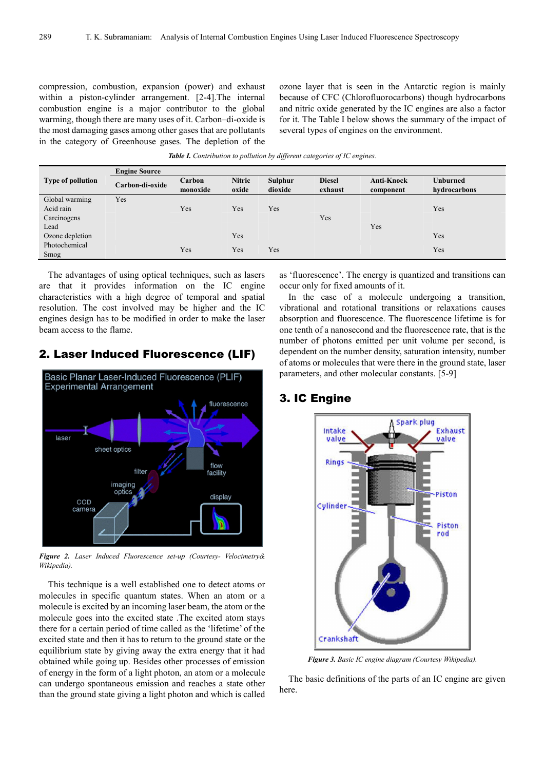compression, combustion, expansion (power) and exhaust within a piston-cylinder arrangement. [2-4]. The internal combustion engine is a major contributor to the global warming, though there are many uses of it. Carbon–di-oxide is the most damaging gases among other gases that are pollutants in the category of Greenhouse gases. The depletion of the

ozone layer that is seen in the Antarctic region is mainly because of CFC (Chlorofluorocarbons) though hydrocarbons and nitric oxide generated by the IC engines are also a factor for it. The Table I below shows the summary of the impact of several types of engines on the environment.

*Table I. Contribution to pollution by different categories of IC engines.* 

|                          | <b>Engine Source</b> |                    |                        |                    |                          |                         |                                 |  |  |  |
|--------------------------|----------------------|--------------------|------------------------|--------------------|--------------------------|-------------------------|---------------------------------|--|--|--|
| <b>Type of pollution</b> | Carbon-di-oxide      | Carbon<br>monoxide | <b>Nitric</b><br>oxide | Sulphur<br>dioxide | <b>Diesel</b><br>exhaust | Anti-Knock<br>component | <b>Unburned</b><br>hydrocarbons |  |  |  |
| Global warming           | Yes                  |                    |                        |                    |                          |                         |                                 |  |  |  |
| Acid rain                |                      | Yes                | Yes                    | Yes                |                          |                         | Yes                             |  |  |  |
| Carcinogens              |                      |                    |                        |                    | Yes                      |                         |                                 |  |  |  |
| Lead                     |                      |                    |                        |                    |                          | Yes                     |                                 |  |  |  |
| Ozone depletion          |                      |                    | Yes                    |                    |                          |                         | Yes                             |  |  |  |
| Photochemical            |                      | Yes                | Yes                    | Yes                |                          |                         | Yes                             |  |  |  |
| Smog                     |                      |                    |                        |                    |                          |                         |                                 |  |  |  |

The advantages of using optical techniques, such as lasers are that it provides information on the IC engine characteristics with a high degree of temporal and spatial resolution. The cost involved may be higher and the IC engines design has to be modified in order to make the laser beam access to the flame.

#### 2. Laser Induced Fluorescence (LIF)



*Figure 2. Laser Induced Fluorescence set-up (Courtesy- Velocimetry& Wikipedia).*

This technique is a well established one to detect atoms or molecules in specific quantum states. When an atom or a molecule is excited by an incoming laser beam, the atom or the molecule goes into the excited state .The excited atom stays there for a certain period of time called as the 'lifetime' of the excited state and then it has to return to the ground state or the equilibrium state by giving away the extra energy that it had obtained while going up. Besides other processes of emission of energy in the form of a light photon, an atom or a molecule can undergo spontaneous emission and reaches a state other than the ground state giving a light photon and which is called as 'fluorescence'. The energy is quantized and transitions can occur only for fixed amounts of it.

In the case of a molecule undergoing a transition, vibrational and rotational transitions or relaxations causes absorption and fluorescence. The fluorescence lifetime is for one tenth of a nanosecond and the fluorescence rate, that is the number of photons emitted per unit volume per second, is dependent on the number density, saturation intensity, number of atoms or molecules that were there in the ground state, laser parameters, and other molecular constants. [5-9]

#### 3. IC Engine



*Figure 3. Basic IC engine diagram (Courtesy Wikipedia).*

The basic definitions of the parts of an IC engine are given here.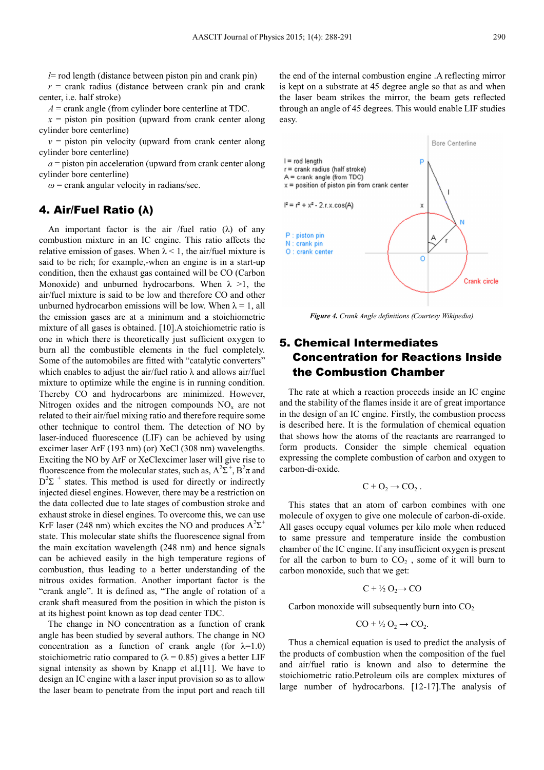*l*= rod length (distance between piston pin and crank pin)  $r =$  crank radius (distance between crank pin and crank center, i.e. half stroke)

*A* = crank angle (from cylinder bore centerline at TDC.

 $x =$  piston pin position (upward from crank center along cylinder bore centerline)

 $v =$  piston pin velocity (upward from crank center along cylinder bore centerline)

 $a =$  piston pin acceleration (upward from crank center along cylinder bore centerline)

 $\omega$  = crank angular velocity in radians/sec.

#### 4. Air/Fuel Ratio (λ)

An important factor is the air /fuel ratio  $(\lambda)$  of any combustion mixture in an IC engine. This ratio affects the relative emission of gases. When  $\lambda$  < 1, the air/fuel mixture is said to be rich; for example,-when an engine is in a start-up condition, then the exhaust gas contained will be CO (Carbon Monoxide) and unburned hydrocarbons. When  $\lambda > 1$ , the air/fuel mixture is said to be low and therefore CO and other unburned hydrocarbon emissions will be low. When  $\lambda = 1$ , all the emission gases are at a minimum and a stoichiometric mixture of all gases is obtained. [10].A stoichiometric ratio is one in which there is theoretically just sufficient oxygen to burn all the combustible elements in the fuel completely. Some of the automobiles are fitted with "catalytic converters" which enables to adjust the air/fuel ratio  $\lambda$  and allows air/fuel mixture to optimize while the engine is in running condition. Thereby CO and hydrocarbons are minimized. However, Nitrogen oxides and the nitrogen compounds  $NO<sub>x</sub>$  are not related to their air/fuel mixing ratio and therefore require some other technique to control them. The detection of NO by laser-induced fluorescence (LIF) can be achieved by using excimer laser ArF (193 nm) (or) XeCl (308 nm) wavelengths. Exciting the NO by ArF or XeClexcimer laser will give rise to fluorescence from the molecular states, such as,  $A^2\Sigma^+$ ,  $B^2\pi$  and  $D^2\Sigma$ <sup>+</sup> states. This method is used for directly or indirectly injected diesel engines. However, there may be a restriction on the data collected due to late stages of combustion stroke and exhaust stroke in diesel engines. To overcome this, we can use KrF laser (248 nm) which excites the NO and produces  $A^2\Sigma^+$ state. This molecular state shifts the fluorescence signal from the main excitation wavelength (248 nm) and hence signals can be achieved easily in the high temperature regions of combustion, thus leading to a better understanding of the nitrous oxides formation. Another important factor is the "crank angle". It is defined as, "The angle of rotation of a crank shaft measured from the position in which the piston is at its highest point known as top dead center TDC.

The change in NO concentration as a function of crank angle has been studied by several authors. The change in NO concentration as a function of crank angle (for  $\lambda=1.0$ ) stoichiometric ratio compared to  $(\lambda = 0.85)$  gives a better LIF signal intensity as shown by Knapp et al.[11]. We have to design an IC engine with a laser input provision so as to allow the laser beam to penetrate from the input port and reach till the end of the internal combustion engine .A reflecting mirror is kept on a substrate at 45 degree angle so that as and when the laser beam strikes the mirror, the beam gets reflected through an angle of 45 degrees. This would enable LIF studies easy.



*Figure 4. Crank Angle definitions (Courtesy Wikipedia).* 

# 5. Chemical Intermediates Concentration for Reactions Inside the Combustion Chamber

The rate at which a reaction proceeds inside an IC engine and the stability of the flames inside it are of great importance in the design of an IC engine. Firstly, the combustion process is described here. It is the formulation of chemical equation that shows how the atoms of the reactants are rearranged to form products. Consider the simple chemical equation expressing the complete combustion of carbon and oxygen to carbon-di-oxide.

$$
C + O_2 \rightarrow CO_2 .
$$

This states that an atom of carbon combines with one molecule of oxygen to give one molecule of carbon-di-oxide. All gases occupy equal volumes per kilo mole when reduced to same pressure and temperature inside the combustion chamber of the IC engine. If any insufficient oxygen is present for all the carbon to burn to  $CO<sub>2</sub>$ , some of it will burn to carbon monoxide, such that we get:

$$
C + \frac{1}{2} O_2 \rightarrow CO
$$

Carbon monoxide will subsequently burn into  $CO<sub>2</sub>$ .

$$
CO + \frac{1}{2}O_2 \rightarrow CO_2.
$$

Thus a chemical equation is used to predict the analysis of the products of combustion when the composition of the fuel and air/fuel ratio is known and also to determine the stoichiometric ratio.Petroleum oils are complex mixtures of large number of hydrocarbons. [12-17].The analysis of